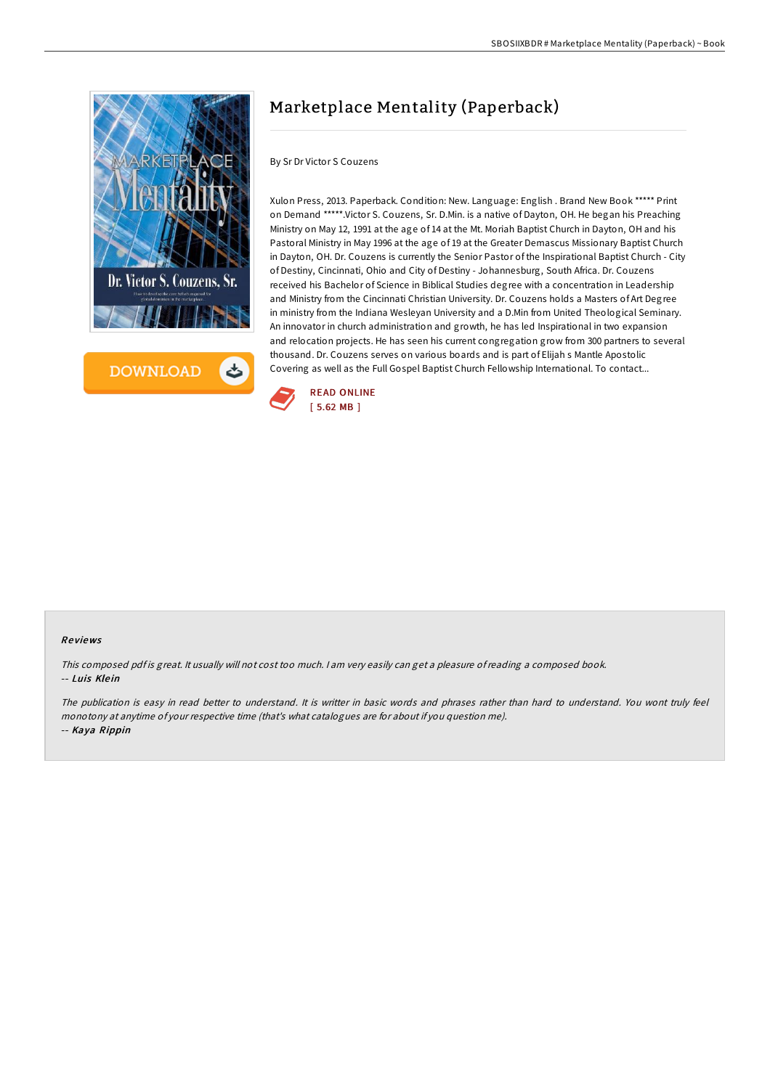



# Marketplace Mentality (Paperback)

By Sr Dr Victor S Couzens

Xulon Press, 2013. Paperback. Condition: New. Language: English . Brand New Book \*\*\*\*\* Print on Demand \*\*\*\*\*.Victor S. Couzens, Sr. D.Min. is a native of Dayton, OH. He began his Preaching Ministry on May 12, 1991 at the age of 14 at the Mt. Moriah Baptist Church in Dayton, OH and his Pastoral Ministry in May 1996 at the age of 19 at the Greater Demascus Missionary Baptist Church in Dayton, OH. Dr. Couzens is currently the Senior Pastor of the Inspirational Baptist Church - City of Destiny, Cincinnati, Ohio and City of Destiny - Johannesburg, South Africa. Dr. Couzens received his Bachelor of Science in Biblical Studies degree with a concentration in Leadership and Ministry from the Cincinnati Christian University. Dr. Couzens holds a Masters of Art Degree in ministry from the Indiana Wesleyan University and a D.Min from United Theological Seminary. An innovator in church administration and growth, he has led Inspirational in two expansion and relocation projects. He has seen his current congregation grow from 300 partners to several thousand. Dr. Couzens serves on various boards and is part of Elijah s Mantle Apostolic Covering as well as the Full Gospel Baptist Church Fellowship International. To contact...



#### Re views

This composed pdf is great. It usually will not cost too much. I am very easily can get a pleasure of reading a composed book. -- Luis Klein

The publication is easy in read better to understand. It is writter in basic words and phrases rather than hard to understand. You wont truly feel monotony at anytime of your respective time (that's what catalogues are for about if you question me). -- Kaya Rippin